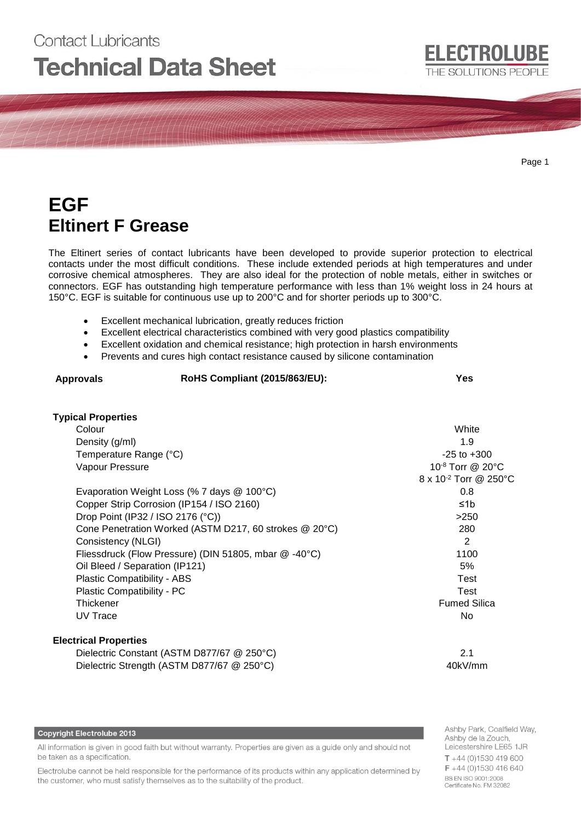# Contact Lubricants **Technical Data Sheet**

**ELECTROLUBE** 

THE SOLUTIONS PEOPLE

## **EGF Eltinert F Grease**

The Eltinert series of contact lubricants have been developed to provide superior protection to electrical contacts under the most difficult conditions. These include extended periods at high temperatures and under corrosive chemical atmospheres. They are also ideal for the protection of noble metals, either in switches or connectors. EGF has outstanding high temperature performance with less than 1% weight loss in 24 hours at 150°C. EGF is suitable for continuous use up to 200°C and for shorter periods up to 300°C.

- Excellent mechanical lubrication, greatly reduces friction
- Excellent electrical characteristics combined with very good plastics compatibility
- Excellent oxidation and chemical resistance; high protection in harsh environments
- Prevents and cures high contact resistance caused by silicone contamination

| <b>Approvals</b> | RoHS Compliant (2015/863/EU): | Yes |  |
|------------------|-------------------------------|-----|--|
|                  |                               |     |  |
| ___              |                               |     |  |

| <b>Typical Properties</b>                              |                                |
|--------------------------------------------------------|--------------------------------|
| Colour                                                 | White                          |
| Density (g/ml)                                         | 1.9                            |
| Temperature Range (°C)                                 | $-25$ to $+300$                |
| Vapour Pressure                                        | 10 $-8$ Torr @ 20 $^{\circ}$ C |
|                                                        | 8 x 10-2 Torr @ 250°C          |
| Evaporation Weight Loss (% 7 days @ 100°C)             | 0.8                            |
| Copper Strip Corrosion (IP154 / ISO 2160)              | ≤1b                            |
| Drop Point (IP32 / ISO 2176 (°C))                      | >250                           |
| Cone Penetration Worked (ASTM D217, 60 strokes @ 20°C) | 280                            |
| Consistency (NLGI)                                     | 2                              |
| Fliessdruck (Flow Pressure) (DIN 51805, mbar @ -40°C)  | 1100                           |
| Oil Bleed / Separation (IP121)                         | 5%                             |
| Plastic Compatibility - ABS                            | Test                           |
| Plastic Compatibility - PC                             | Test                           |
| Thickener                                              | <b>Fumed Silica</b>            |
| UV Trace                                               | No.                            |
|                                                        |                                |

#### **Electrical Properties**

Dielectric Constant (ASTM D877/67 @ 250°C) 2.1 Dielectric Strength (ASTM D877/67 @ 250°C) 40kV/mm

#### **Copyright Electrolube 2013**

All information is given in good faith but without warranty. Properties are given as a guide only and should not be taken as a specification.

Electrolube cannot be held responsible for the performance of its products within any application determined by the customer, who must satisfy themselves as to the suitability of the product.

Ashby Park, Coalfield Way, Ashby de la Zouch, Leicestershire LE65 1JR  $T + 44$  (0)1530 419 600 F +44 (0)1530 416 640 BS EN ISO 9001:2008 Certificate No. FM 32082